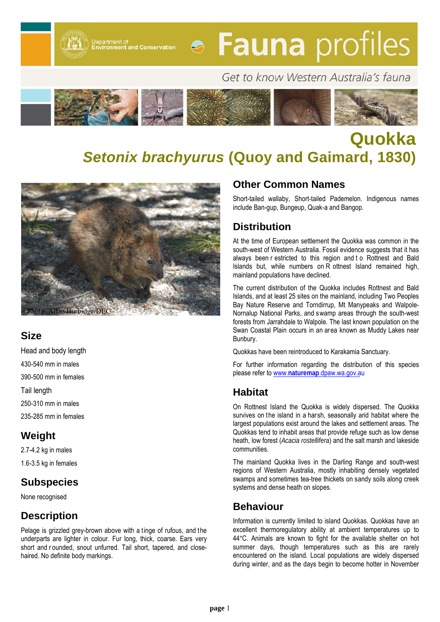Department of<br>Environment and Conservation

# **• Fauna** profiles

# Get to know Western Australia's fauna



# **Quokka**  *Setonix brachyurus* **(Quoy and Gaimard, 1830)**



#### **Size**

Head and body length 430-540 mm in males 390-500 mm in females Tail length 250-310 mm in males 235-285 mm in females

#### **Weight**

2.7-4.2 kg in males 1.6-3.5 kg in females

## **Subspecies**

None recognised

#### **Description**

Pelage is grizzled grey-brown above with a tinge of rufous, and the underparts are lighter in colour. Fur long, thick, coarse. Ears very short and r ounded, snout unfurred. Tail short, tapered, and closehaired. No definite body markings.

#### **Other Common Names**

Short-tailed wallaby. Short-tailed Pademelon. Indigenous names include Ban-gup, Bungeup, Quak-a and Bangop.

### **Distribution**

At the time of European settlement the Quokka was common in the south-west of Western Australia. Fossil evidence suggests that it has always been r estricted to this region and t o Rottnest and Bald Islands but, while numbers on R ottnest Island remained high, mainland populations have declined.

The current distribution of the Quokka includes Rottnest and Bald Islands, and at least 25 sites on the mainland, including Two Peoples Bay Nature Reserve and Torndirrup, Mt Manypeaks and Walpole-Nornalup National Parks, and swamp areas through the south-west forests from Jarrahdale to Walpole. The last known population on the Swan Coastal Plain occurs in an area known as Muddy Lakes near Bunbury.

Quokkas have been reintroduced to Karakamia Sanctuary.

For further information regarding the distribution of this species please refer to www.**naturemap**[.dpaw.wa.gov.au](http://naturemap.dpaw.wa.gov.au/)

#### **Habitat**

On Rottnest Island the Quokka is widely dispersed. The Quokka survives on the island in a harsh, seasonally arid habitat where the largest populations exist around the lakes and settlement areas. The Quokkas tend to inhabit areas that provide refuge such as low dense heath, low forest (*Acacia rostellifera*) and the salt marsh and lakeside communities.

The mainland Quokka lives in the Darling Range and south-west regions of Western Australia, mostly inhabiting densely vegetated swamps and sometimes tea-tree thickets on sandy soils along creek systems and dense heath on slopes.

#### **Behaviour**

Information is currently limited to island Quokkas. Quokkas have an excellent thermoregulatory ability at ambient temperatures up to 44°C. Animals are known to fight for the available shelter on hot summer days, though temperatures such as this are rarely encountered on the island. Local populations are widely dispersed during winter, and as the days begin to become hotter in November